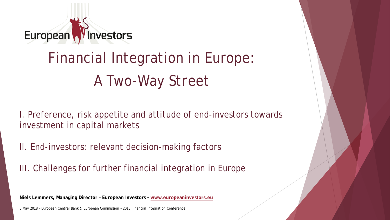

## Financial Integration in Europe: *A Two-Way Street*

I. Preference, risk appetite and attitude of end-investors towards investment in capital markets

II. End-investors: relevant decision-making factors

III. Challenges for further financial integration in Europe

**Niels Lemmers, Managing Director – European Investors - www.europeaninvestors.eu**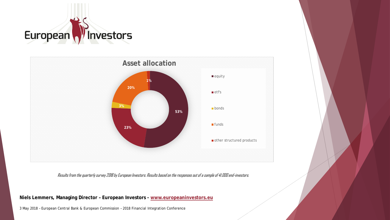



Results from the quarterly survey 2018 by European Investors. Results based on the responses out of a sample of 41.000 end-investors.

**Niels Lemmers, Managing Director – European Investors - www.europeaninvestors.eu**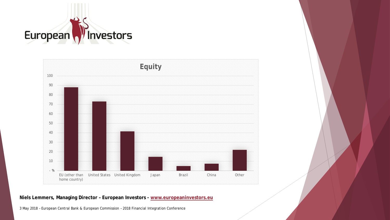



**Niels Lemmers, Managing Director – European Investors - www.europeaninvestors.eu**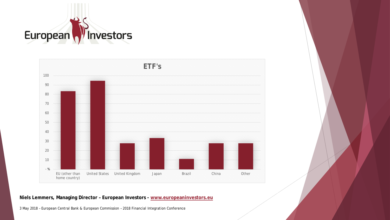



**Niels Lemmers, Managing Director – European Investors - www.europeaninvestors.eu**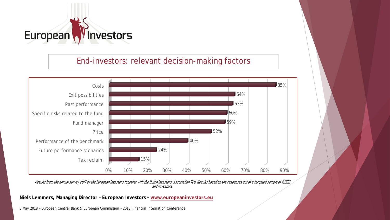

## End-investors: relevant decision-making factors



Results from the annual survey 2017 by the European Investors together with the Dutch Investors' Association VEB. Results based on the responses out of a targeted sample of 4.000 end-investors.

**Niels Lemmers, Managing Director – European Investors - www.europeaninvestors.eu**